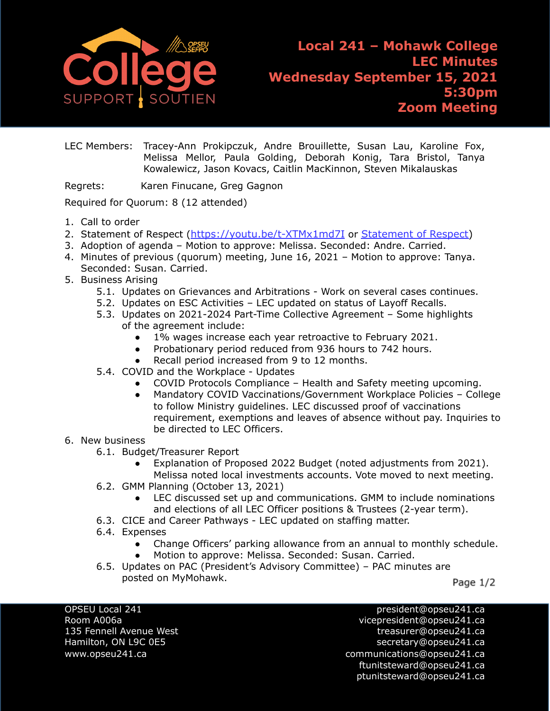

**Local 241 – Mohawk College LEC Minutes Wednesday September 15, 2021 5:30pm Zoom Meeting**

LEC Members: Tracey-Ann Prokipczuk, Andre Brouillette, Susan Lau, Karoline Fox, Melissa Mellor, Paula Golding, Deborah Konig, Tara Bristol, Tanya Kowalewicz, Jason Kovacs, Caitlin MacKinnon, Steven Mikalauskas

Regrets: Karen Finucane, Greg Gagnon

Required for Quorum: 8 (12 attended)

- 1. Call to order
- 2. [Statement of Respect](https://opseu.org/wp-content/uploads/2014/04/Statement-of-Respect-2019.pdf) (<https://youtu.be/t-XTMx1md7I> or [Statement](https://www.opseu.org/information/tools-and-resources/statement-of-respect/9709/) of Respect)
- 3. Adoption of agenda Motion to approve: Melissa. Seconded: Andre. Carried.
- 4. Minutes of previous (quorum) meeting, June 16, 2021 Motion to approve: Tanya. Seconded: Susan. Carried.
- 5. Business Arising
	- 5.1. Updates on Grievances and Arbitrations Work on several cases continues.
	- 5.2. Updates on ESC Activities LEC updated on status of Layoff Recalls.
	- 5.3. Updates on 2021-2024 Part-Time Collective Agreement Some highlights of the agreement include:
		- 1% wages increase each year retroactive to February 2021.
		- Probationary period reduced from 936 hours to 742 hours.
		- Recall period increased from 9 to 12 months.
	- 5.4. COVID and the Workplace Updates
		- COVID Protocols Compliance Health and Safety meeting upcoming.
		- Mandatory COVID Vaccinations/Government Workplace Policies College to follow Ministry guidelines. LEC discussed proof of vaccinations requirement, exemptions and leaves of absence without pay. Inquiries to be directed to LEC Officers.

## 6. New business

- 6.1. Budget/Treasurer Report
	- Explanation of Proposed 2022 Budget (noted adjustments from 2021).
	- Melissa noted local investments accounts. Vote moved to next meeting.
- 6.2. GMM Planning (October 13, 2021)
	- LEC discussed set up and communications. GMM to include nominations and elections of all LEC Officer positions & Trustees (2-year term).
- 6.3. CICE and Career Pathways LEC updated on staffing matter.
- 6.4. Expenses
	- Change Officers' parking allowance from an annual to monthly schedule.
	- Motion to approve: Melissa. Seconded: Susan. Carried.
- 6.5. Updates on PAC (President's Advisory Committee) PAC minutes are posted on MyMohawk.

Page 1/2

OPSEU Local 241 president@opseu241.ca

Room A006a vicepresident@opseu241.ca 135 Fennell Avenue West [treasurer@opseu241.ca](mailto:treasurer@opseu241.ca) Hamilton, ON L9C 0E5 [secretary@opseu241.ca](mailto:secretary@opseu241.ca) www.opseu241.ca example and the communications@opseu241.ca [ftunitsteward@opseu241.ca](mailto:ftunitsteward@opseu241.ca) ptunitsteward@opseu241.ca